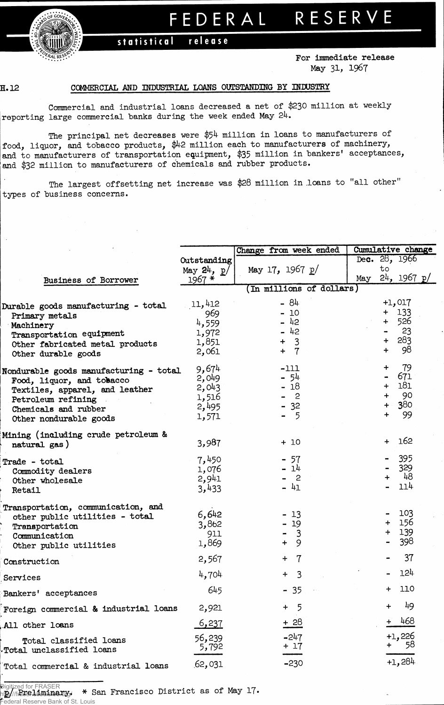

## FEDERAL RESERVE

## statistical release

**For immediate release May 31, 1967**

## **H. 12**

## **COMMERCIAL AND INDUSTRIAL LOANS OUTSTANDING BY INHJSTRY**

**Commercial and industrial loans decreased a net of \$230 million at weeklyreporting large commercial banks during the week ended May 24.**

**The principal net decreases were \$54 million in loans to manufacturers of food, liquor, and tobacco products, # 2 million each to manufacturers of machinery, and to manufacturers of transportation equipment, \$35 million in bankers' acceptances, and \$32 million to manufacturers of chemicals and rubber products.**

**The largest offsetting net increase was \$28 million in loans to "all other" types of business concerns.**

|                                        |                 | Change from week ended  | Cumulative change          |  |  |  |
|----------------------------------------|-----------------|-------------------------|----------------------------|--|--|--|
|                                        | Outstanding     |                         | Dec. $28, 1966$            |  |  |  |
|                                        | May $24$ , $p/$ | May 17, 1967 $p/$       | to                         |  |  |  |
| Business of Borrower                   | $1967 *$        |                         | $24$ , 1967 p/<br>Мау      |  |  |  |
|                                        |                 | In millions of dollars) |                            |  |  |  |
|                                        |                 |                         |                            |  |  |  |
| Durable goods manufacturing - total    | 11,412          | - 84                    | $+1,017$                   |  |  |  |
| Primary metals                         | 969             | $-10$                   | $+ 133$                    |  |  |  |
| Machinery                              | 4,559           | - 42                    | 526<br>$+$                 |  |  |  |
| Transportation equipment               | 1,972           | $-42$                   | 23                         |  |  |  |
| Other fabricated metal products        | 1,851           | $+ 3$                   | 283<br>$\ddot{}$           |  |  |  |
| Other durable goods                    | 2,061           | $\overline{7}$<br>$+$   | 98<br>$\ddot{\phantom{1}}$ |  |  |  |
| Nondurable goods manufacturing - total | 9,674           | $-111$                  | 79<br>$\ddot{}$            |  |  |  |
| Food, liquor, and tobacco              | 2,049           | - 54                    | 671<br>$\blacksquare$      |  |  |  |
| Textiles, apparel, and leather         | 2,043           | - 18                    | 181<br>$+$                 |  |  |  |
| Petroleum refining                     | 1,516           | $\mathbf{c}$            | 90<br>$+$                  |  |  |  |
| Chemicals and rubber                   | 2,495           | -32                     | 380<br>÷                   |  |  |  |
| Other nondurable goods                 | 1,571           | 5                       | 99<br>$+$                  |  |  |  |
| Mining (including crude petroleum &    |                 |                         |                            |  |  |  |
| natural gas)                           | 3,987           | $+10$                   | 162<br>$+$                 |  |  |  |
| Trade - total                          | 7,450           | $-57$                   | 395                        |  |  |  |
| Commodity dealers                      | 1,076           | $-14$                   | 329                        |  |  |  |
| Other wholesale                        | 2,941           | $\mathbf{c}$            | - 48<br>┿                  |  |  |  |
| Retail                                 | 3,433           | $-41$                   | 114                        |  |  |  |
| Transportation, communication, and     |                 |                         |                            |  |  |  |
| other public utilities - total         | 6,642           | $-13$                   | 103                        |  |  |  |
| Transportation                         | 3,862           | $-19$                   | 156<br>$+$                 |  |  |  |
| Communication                          | 911             | 3                       | 139<br>$+$                 |  |  |  |
| Other public utilities                 | 1,869           | 9<br>$\ddot{}$          | 398                        |  |  |  |
| Construction                           | 2,567           | $\mathbf 7$<br>$+$      | 37                         |  |  |  |
| Services                               | 4,704           | $\overline{3}$<br>$+$   | 124                        |  |  |  |
| Bankers' acceptances                   | 645             | $-35$                   | 110<br>$\ddot{}$           |  |  |  |
| Foreign commercial & industrial loans  | 2,921           | 5<br>$+$                | 49                         |  |  |  |
| All other loans                        | <u>6,237</u>    | + 28                    | 468<br>÷                   |  |  |  |
|                                        | 56,239          | $-247$                  | $+1,226$                   |  |  |  |
| Total classified loans                 | 5,792           | $+17$                   | 58                         |  |  |  |
| Total unclassified loans               |                 |                         |                            |  |  |  |
| Total commercial & industrial loans    | 62,031          | $-230$                  | $+1,284$                   |  |  |  |
|                                        |                 |                         |                            |  |  |  |

**g/ Preliminary. \* San Francisco District as of May 17\*** Digitized for FRASER http://fraser.stlouisfeel.org/ ederal Reserve Bank of St. Louis